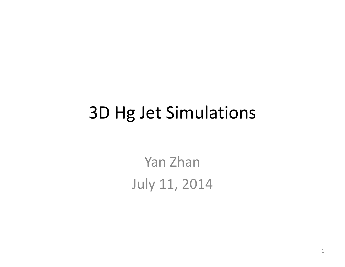#### 3D Hg Jet Simulations

Yan Zhan **July 11, 2014**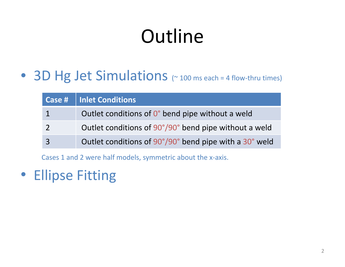# Outline

● 3D Hg Jet Simulations (~100 ms each = 4 flow-thru times)

| Case #   Inlet Conditions                              |
|--------------------------------------------------------|
| Outlet conditions of 0° bend pipe without a weld       |
| Outlet conditions of 90°/90° bend pipe without a weld  |
| Outlet conditions of 90°/90° bend pipe with a 30° weld |

Cases 1 and 2 were half models, symmetric about the <sup>x</sup>‐axis.

• Ellipse Fitting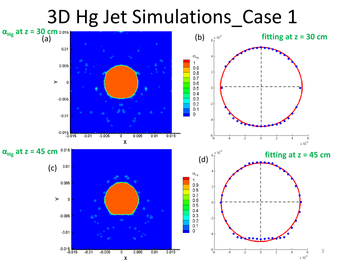## 3D Hg Jet Simulations\_Case 1

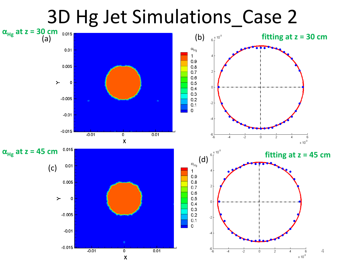## 3D Hg Jet Simulations\_Case 2

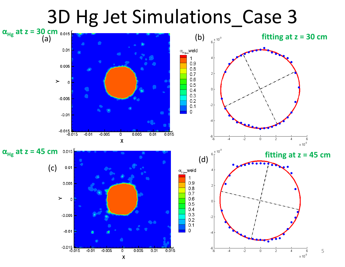### 3D Hg Jet Simulations\_Case 3